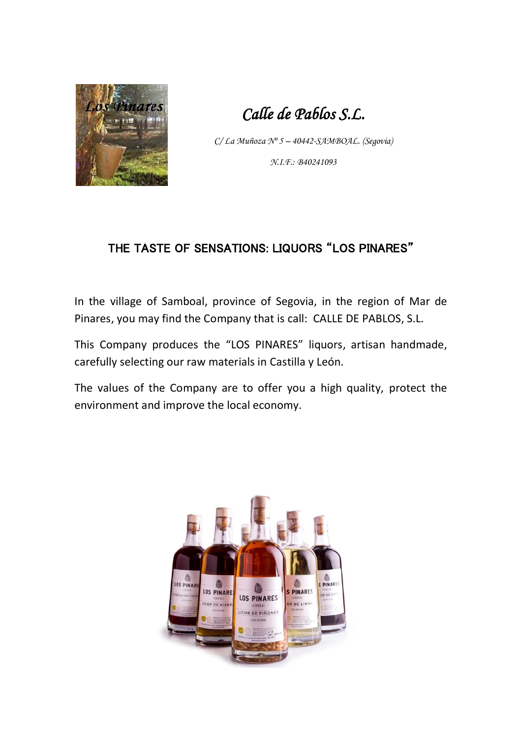

*Calle de Pablos S.L.* 

*C/ La Muñoza Nº 5 – 40442-SAMBOAL. (Segovia) N.I.F.: B40241093*

#### THE TASTE OF SENSATIONS: LIQUORS "LOS PINARES"

In the village of Samboal, province of Segovia, in the region of Mar de Pinares, you may find the Company that is call: CALLE DE PABLOS, S.L.

This Company produces the "LOS PINARES" liquors, artisan handmade, carefully selecting our raw materials in Castilla y León.

The values of the Company are to offer you a high quality, protect the environment and improve the local economy.

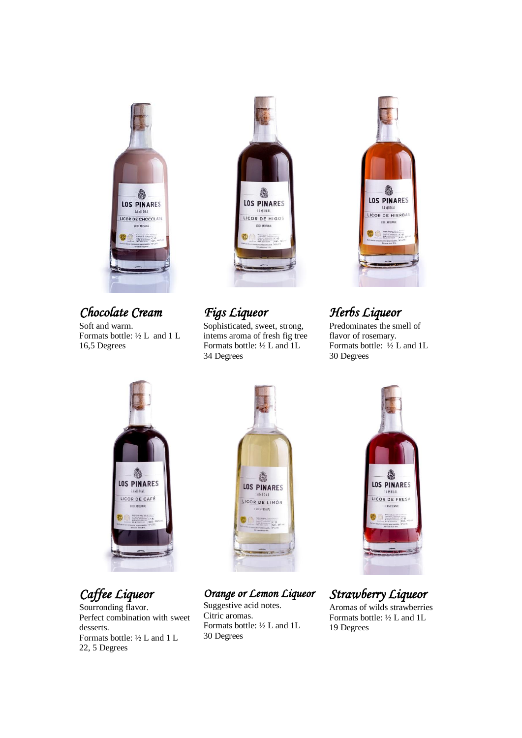

*Chocolate Cream*  Soft and warm.

Formats bottle: ½ L and 1 L 16,5 Degrees



*Figs Liqueor* 

Sophisticated, sweet, strong, intems aroma of fresh fig tree Formats bottle: ½ L and 1L 34 Degrees



## *Herbs Liqueor*

Predominates the smell of flavor of rosemary. Formats bottle: ½ L and 1L 30 Degrees



*Caffee Liqueor*

Sourronding flavor. Perfect combination with sweet desserts. Formats bottle: ½ L and 1 L 22, 5 Degrees



*Orange or Lemon Liqueor* 

Suggestive acid notes. Citric aromas. Formats bottle: ½ L and 1L 30 Degrees



# *Strawberry Liqueor*

Aromas of wilds strawberries Formats bottle: ½ L and 1L 19 Degrees